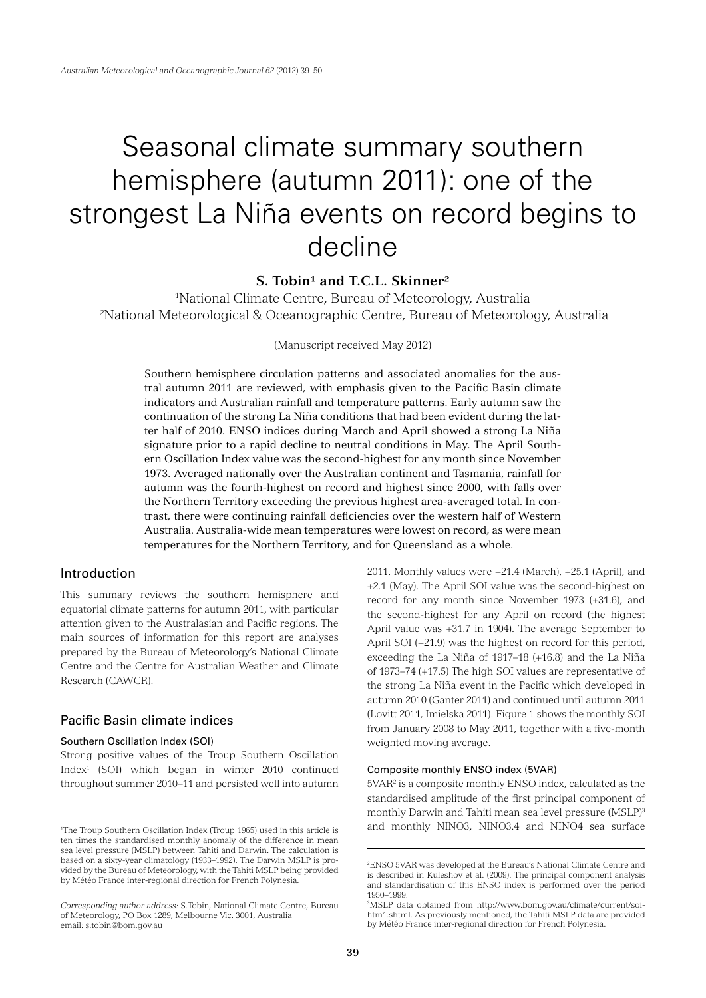# Seasonal climate summary southern hemisphere (autumn 2011): one of the strongest La Niña events on record begins to decline

# **S. Tobin<sup>1</sup> and T.C.L. Skinner<sup>2</sup>**

1 National Climate Centre, Bureau of Meteorology, Australia 2 National Meteorological & Oceanographic Centre, Bureau of Meteorology, Australia

(Manuscript received May 2012)

Southern hemisphere circulation patterns and associated anomalies for the austral autumn 2011 are reviewed, with emphasis given to the Pacific Basin climate indicators and Australian rainfall and temperature patterns. Early autumn saw the continuation of the strong La Niña conditions that had been evident during the latter half of 2010. ENSO indices during March and April showed a strong La Niña signature prior to a rapid decline to neutral conditions in May. The April Southern Oscillation Index value was the second-highest for any month since November 1973. Averaged nationally over the Australian continent and Tasmania, rainfall for autumn was the fourth-highest on record and highest since 2000, with falls over the Northern Territory exceeding the previous highest area-averaged total. In contrast, there were continuing rainfall deficiencies over the western half of Western Australia. Australia-wide mean temperatures were lowest on record, as were mean temperatures for the Northern Territory, and for Queensland as a whole.

## Introduction

This summary reviews the southern hemisphere and equatorial climate patterns for autumn 2011, with particular attention given to the Australasian and Pacific regions. The main sources of information for this report are analyses prepared by the Bureau of Meteorology's National Climate Centre and the Centre for Australian Weather and Climate Research (CAWCR).

# Pacific Basin climate indices

#### Southern Oscillation Index (SOI)

Strong positive values of the Troup Southern Oscillation Index1 (SOI) which began in winter 2010 continued throughout summer 2010–11 and persisted well into autumn

2011. Monthly values were +21.4 (March), +25.1 (April), and +2.1 (May). The April SOI value was the second-highest on record for any month since November 1973 (+31.6), and the second-highest for any April on record (the highest April value was +31.7 in 1904). The average September to April SOI (+21.9) was the highest on record for this period, exceeding the La Niña of 1917–18 (+16.8) and the La Niña of 1973–74 (+17.5) The high SOI values are representative of the strong La Niña event in the Pacific which developed in autumn 2010 (Ganter 2011) and continued until autumn 2011 (Lovitt 2011, Imielska 2011). Figure 1 shows the monthly SOI from January 2008 to May 2011, together with a five-month weighted moving average.

## Composite monthly ENSO index (5VAR)

5VAR2 is a composite monthly ENSO index, calculated as the standardised amplitude of the first principal component of monthly Darwin and Tahiti mean sea level pressure (MSLP)3 and monthly NINO3, NINO3.4 and NINO4 sea surface

<sup>1</sup> The Troup Southern Oscillation Index (Troup 1965) used in this article is ten times the standardised monthly anomaly of the difference in mean sea level pressure (MSLP) between Tahiti and Darwin. The calculation is based on a sixty-year climatology (1933–1992). The Darwin MSLP is provided by the Bureau of Meteorology, with the Tahiti MSLP being provided by Météo France inter-regional direction for French Polynesia.

*Corresponding author address:* S.Tobin, National Climate Centre, Bureau of Meteorology, PO Box 1289, Melbourne Vic. 3001, Australia email: s.tobin@bom.gov.au

<sup>2</sup> ENSO 5VAR was developed at the Bureau's National Climate Centre and is described in Kuleshov et al. (2009). The principal component analysis and standardisation of this ENSO index is performed over the period 1950–1999.

<sup>3</sup> MSLP data obtained from http://www.bom.gov.au/climate/current/soihtm1.shtml. As previously mentioned, the Tahiti MSLP data are provided by Météo France inter-regional direction for French Polynesia.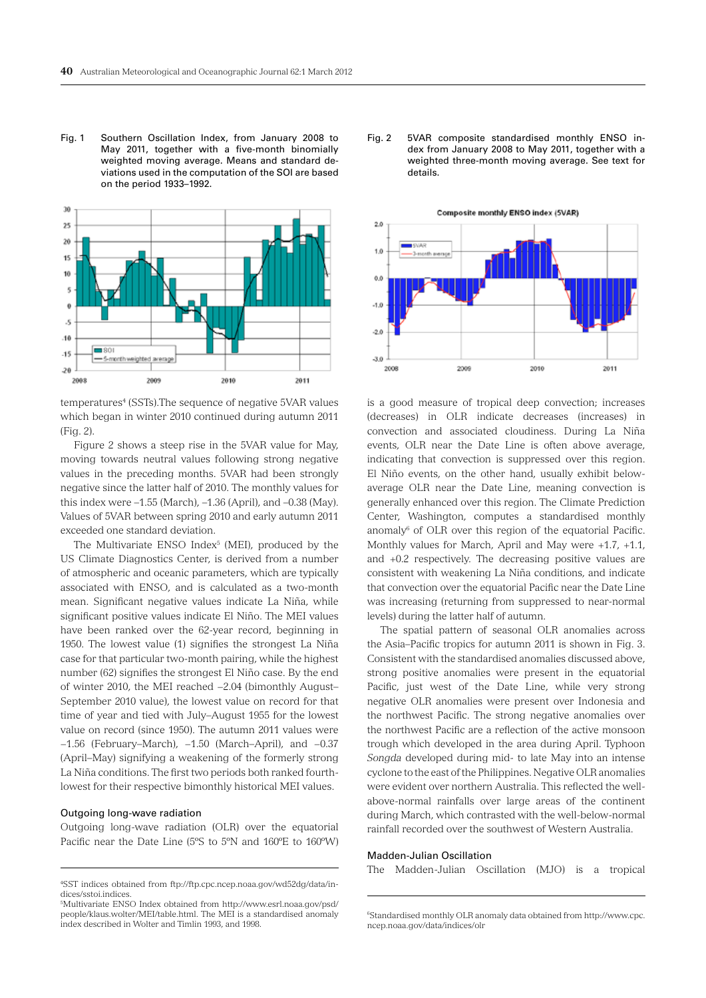Fig. 1 Southern Oscillation Index, from January 2008 to May 2011, together with a five-month binomially weighted moving average. Means and standard deviations used in the computation of the SOI are based on the period 1933–1992.



temperatures<sup>4</sup> (SSTs). The sequence of negative 5VAR values which began in winter 2010 continued during autumn 2011 (Fig. 2).

Figure 2 shows a steep rise in the 5VAR value for May, moving towards neutral values following strong negative values in the preceding months. 5VAR had been strongly negative since the latter half of 2010. The monthly values for this index were –1.55 (March), –1.36 (April), and –0.38 (May). Values of 5VAR between spring 2010 and early autumn 2011 exceeded one standard deviation.

The Multivariate ENSO Index<sup>5</sup> (MEI), produced by the US Climate Diagnostics Center, is derived from a number of atmospheric and oceanic parameters, which are typically associated with ENSO, and is calculated as a two-month mean. Significant negative values indicate La Niña, while significant positive values indicate El Niño. The MEI values have been ranked over the 62-year record, beginning in 1950. The lowest value (1) signifies the strongest La Niña case for that particular two-month pairing, while the highest number (62) signifies the strongest El Niño case. By the end of winter 2010, the MEI reached −2.04 (bimonthly August– September 2010 value), the lowest value on record for that time of year and tied with July–August 1955 for the lowest value on record (since 1950). The autumn 2011 values were −1.56 (February–March), −1.50 (March–April), and −0.37 (April–May) signifying a weakening of the formerly strong La Niña conditions. The first two periods both ranked fourthlowest for their respective bimonthly historical MEI values.

#### Outgoing long-wave radiation

Outgoing long-wave radiation (OLR) over the equatorial Pacific near the Date Line (5ºS to 5ºN and 160ºE to 160ºW) Fig. 2 5VAR composite standardised monthly ENSO index from January 2008 to May 2011, together with a weighted three-month moving average. See text for details.



is a good measure of tropical deep convection; increases (decreases) in OLR indicate decreases (increases) in convection and associated cloudiness. During La Niña events, OLR near the Date Line is often above average, indicating that convection is suppressed over this region. El Niño events, on the other hand, usually exhibit belowaverage OLR near the Date Line, meaning convection is generally enhanced over this region. The Climate Prediction Center, Washington, computes a standardised monthly anomaly $6$  of OLR over this region of the equatorial Pacific. Monthly values for March, April and May were +1.7, +1.1, and +0.2 respectively. The decreasing positive values are consistent with weakening La Niña conditions, and indicate that convection over the equatorial Pacific near the Date Line was increasing (returning from suppressed to near-normal levels) during the latter half of autumn.

The spatial pattern of seasonal OLR anomalies across the Asia–Pacific tropics for autumn 2011 is shown in Fig. 3. Consistent with the standardised anomalies discussed above, strong positive anomalies were present in the equatorial Pacific, just west of the Date Line, while very strong negative OLR anomalies were present over Indonesia and the northwest Pacific. The strong negative anomalies over the northwest Pacific are a reflection of the active monsoon trough which developed in the area during April. Typhoon *Songda* developed during mid- to late May into an intense cyclone to the east of the Philippines. Negative OLR anomalies were evident over northern Australia. This reflected the wellabove-normal rainfalls over large areas of the continent during March, which contrasted with the well-below-normal rainfall recorded over the southwest of Western Australia.

#### Madden-Julian Oscillation

The Madden-Julian Oscillation (MJO) is a tropical

<sup>4</sup> SST indices obtained from ftp://ftp.cpc.ncep.noaa.gov/wd52dg/data/indices/sstoi.indices.

<sup>5</sup> Multivariate ENSO Index obtained from http://www.esrl.noaa.gov/psd/ people/klaus.wolter/MEI/table.html. The MEI is a standardised anomaly index described in Wolter and Timlin 1993, and 1998.

<sup>6</sup> Standardised monthly OLR anomaly data obtained from http://www.cpc. ncep.noaa.gov/data/indices/olr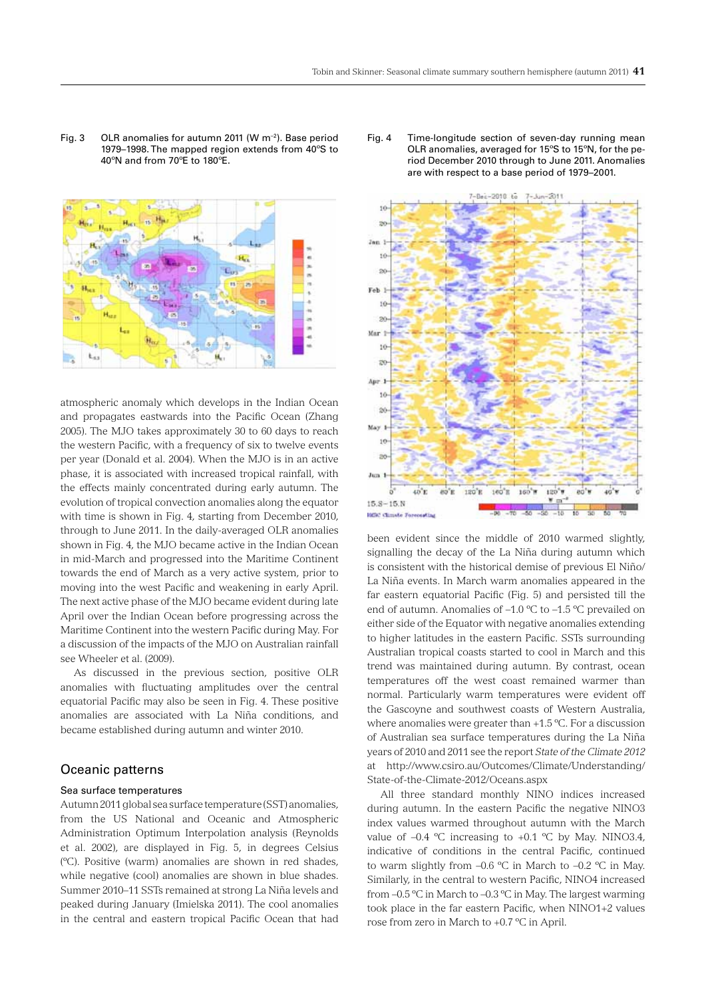Fig. 3 OLR anomalies for autumn 2011 (W  $m^{-2}$ ). Base period 1979–1998. The mapped region extends from 40ºS to 40ºN and from 70ºE to 180ºE.



atmospheric anomaly which develops in the Indian Ocean and propagates eastwards into the Pacific Ocean (Zhang 2005). The MJO takes approximately 30 to 60 days to reach the western Pacific, with a frequency of six to twelve events per year (Donald et al. 2004). When the MJO is in an active phase, it is associated with increased tropical rainfall, with the effects mainly concentrated during early autumn. The evolution of tropical convection anomalies along the equator with time is shown in Fig. 4, starting from December 2010, through to June 2011. In the daily-averaged OLR anomalies shown in Fig. 4, the MJO became active in the Indian Ocean in mid-March and progressed into the Maritime Continent towards the end of March as a very active system, prior to moving into the west Pacific and weakening in early April. The next active phase of the MJO became evident during late April over the Indian Ocean before progressing across the Maritime Continent into the western Pacific during May. For a discussion of the impacts of the MJO on Australian rainfall see Wheeler et al. (2009).

As discussed in the previous section, positive OLR anomalies with fluctuating amplitudes over the central equatorial Pacific may also be seen in Fig. 4. These positive anomalies are associated with La Niña conditions, and became established during autumn and winter 2010.

# Oceanic patterns

#### Sea surface temperatures

Autumn 2011 global sea surface temperature (SST) anomalies, from the US National and Oceanic and Atmospheric Administration Optimum Interpolation analysis (Reynolds et al. 2002), are displayed in Fig. 5, in degrees Celsius (ºC). Positive (warm) anomalies are shown in red shades, while negative (cool) anomalies are shown in blue shades. Summer 2010–11 SSTs remained at strong La Niña levels and peaked during January (Imielska 2011). The cool anomalies in the central and eastern tropical Pacific Ocean that had

Fig. 4 Time-longitude section of seven-day running mean OLR anomalies, averaged for 15ºS to 15ºN, for the period December 2010 through to June 2011. Anomalies are with respect to a base period of 1979–2001.



been evident since the middle of 2010 warmed slightly, signalling the decay of the La Niña during autumn which is consistent with the historical demise of previous El Niño/ La Niña events. In March warm anomalies appeared in the far eastern equatorial Pacific (Fig. 5) and persisted till the end of autumn. Anomalies of –1.0 ºC to –1.5 ºC prevailed on either side of the Equator with negative anomalies extending to higher latitudes in the eastern Pacific. SSTs surrounding Australian tropical coasts started to cool in March and this trend was maintained during autumn. By contrast, ocean temperatures off the west coast remained warmer than normal. Particularly warm temperatures were evident off the Gascoyne and southwest coasts of Western Australia, where anomalies were greater than +1.5 ºC. For a discussion of Australian sea surface temperatures during the La Niña years of 2010 and 2011 see the report *State of the Climate 2012* at http://www.csiro.au/Outcomes/Climate/Understanding/ State-of-the-Climate-2012/Oceans.aspx

All three standard monthly NINO indices increased during autumn. In the eastern Pacific the negative NINO3 index values warmed throughout autumn with the March value of  $-0.4$  °C increasing to  $+0.1$  °C by May. NINO3.4, indicative of conditions in the central Pacific, continued to warm slightly from  $-0.6$  °C in March to  $-0.2$  °C in May. Similarly, in the central to western Pacific, NINO4 increased from –0.5 ºC in March to –0.3 ºC in May. The largest warming took place in the far eastern Pacific, when NINO1+2 values rose from zero in March to +0.7 ºC in April.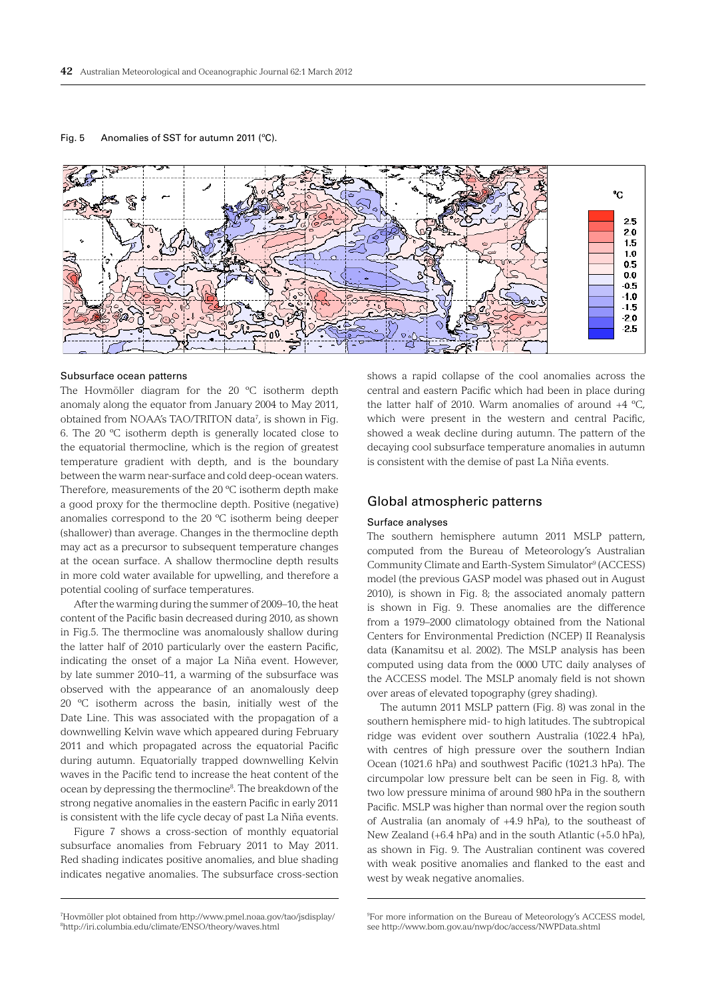

Fig. 5 Anomalies of SST for autumn 2011 (ºC).

#### Subsurface ocean patterns

The Hovmöller diagram for the 20 ºC isotherm depth anomaly along the equator from January 2004 to May 2011, obtained from NOAA's TAO/TRITON data7 , is shown in Fig. 6. The 20 ºC isotherm depth is generally located close to the equatorial thermocline, which is the region of greatest temperature gradient with depth, and is the boundary between the warm near-surface and cold deep-ocean waters. Therefore, measurements of the 20 ºC isotherm depth make a good proxy for the thermocline depth. Positive (negative) anomalies correspond to the 20 ºC isotherm being deeper (shallower) than average. Changes in the thermocline depth may act as a precursor to subsequent temperature changes at the ocean surface. A shallow thermocline depth results in more cold water available for upwelling, and therefore a potential cooling of surface temperatures.

After the warming during the summer of 2009–10, the heat content of the Pacific basin decreased during 2010, as shown in Fig.5. The thermocline was anomalously shallow during the latter half of 2010 particularly over the eastern Pacific, indicating the onset of a major La Niña event. However, by late summer 2010–11, a warming of the subsurface was observed with the appearance of an anomalously deep 20 ºC isotherm across the basin, initially west of the Date Line. This was associated with the propagation of a downwelling Kelvin wave which appeared during February 2011 and which propagated across the equatorial Pacific during autumn. Equatorially trapped downwelling Kelvin waves in the Pacific tend to increase the heat content of the ocean by depressing the thermocline8 . The breakdown of the strong negative anomalies in the eastern Pacific in early 2011 is consistent with the life cycle decay of past La Niña events.

Figure 7 shows a cross-section of monthly equatorial subsurface anomalies from February 2011 to May 2011. Red shading indicates positive anomalies, and blue shading indicates negative anomalies. The subsurface cross-section

7 Hovmöller plot obtained from http://www.pmel.noaa.gov/tao/jsdisplay/ 8 http://iri.columbia.edu/climate/ENSO/theory/waves.html

shows a rapid collapse of the cool anomalies across the central and eastern Pacific which had been in place during the latter half of 2010. Warm anomalies of around  $+4$  °C, which were present in the western and central Pacific, showed a weak decline during autumn. The pattern of the decaying cool subsurface temperature anomalies in autumn is consistent with the demise of past La Niña events.

°C

 $2.5$ 20 1.5  $1.0$ 0.5  $0<sub>0</sub>$  $-0.5$  $-1.0$  $-1.5$ -20  $-2.5$ 

# Global atmospheric patterns

#### Surface analyses

The southern hemisphere autumn 2011 MSLP pattern, computed from the Bureau of Meteorology's Australian Community Climate and Earth-System Simulator<sup>9</sup> (ACCESS) model (the previous GASP model was phased out in August 2010), is shown in Fig. 8; the associated anomaly pattern is shown in Fig. 9. These anomalies are the difference from a 1979–2000 climatology obtained from the National Centers for Environmental Prediction (NCEP) II Reanalysis data (Kanamitsu et al. 2002). The MSLP analysis has been computed using data from the 0000 UTC daily analyses of the ACCESS model. The MSLP anomaly field is not shown over areas of elevated topography (grey shading).

The autumn 2011 MSLP pattern (Fig. 8) was zonal in the southern hemisphere mid- to high latitudes. The subtropical ridge was evident over southern Australia (1022.4 hPa), with centres of high pressure over the southern Indian Ocean (1021.6 hPa) and southwest Pacific (1021.3 hPa). The circumpolar low pressure belt can be seen in Fig. 8, with two low pressure minima of around 980 hPa in the southern Pacific. MSLP was higher than normal over the region south of Australia (an anomaly of +4.9 hPa), to the southeast of New Zealand (+6.4 hPa) and in the south Atlantic (+5.0 hPa), as shown in Fig. 9. The Australian continent was covered with weak positive anomalies and flanked to the east and west by weak negative anomalies.

<sup>9</sup> For more information on the Bureau of Meteorology's ACCESS model, see http://www.bom.gov.au/nwp/doc/access/NWPData.shtml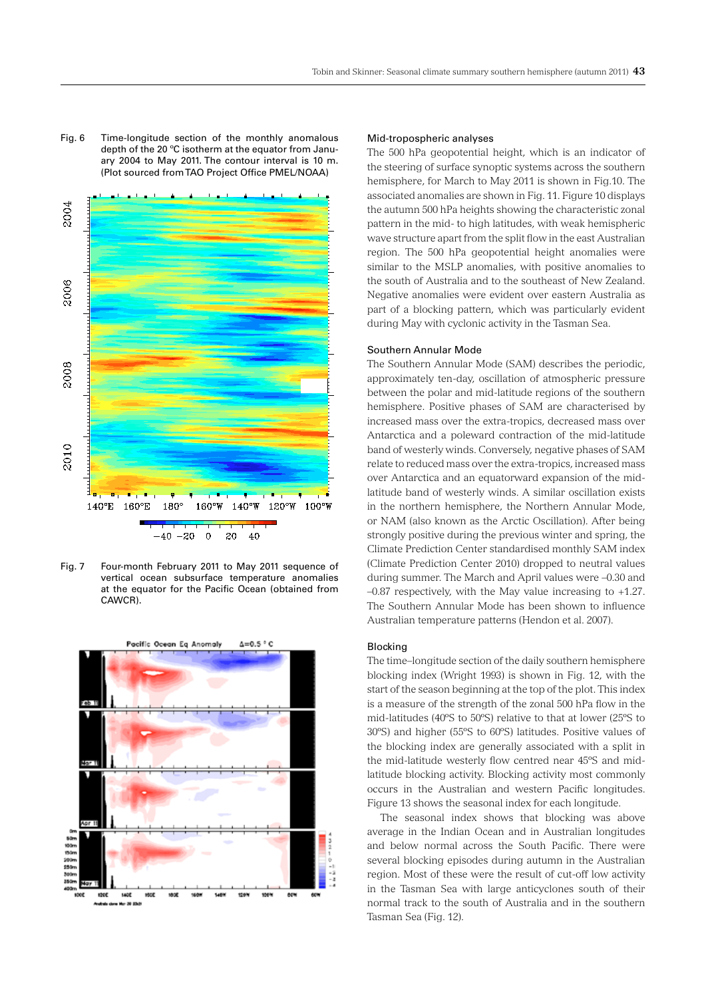Fig. 6 Time-longitude section of the monthly anomalous depth of the 20 ºC isotherm at the equator from January 2004 to May 2011. The contour interval is 10 m. (Plot sourced from TAO Project Office PMEL/NOAA)



Fig. 7 Four-month February 2011 to May 2011 sequence of vertical ocean subsurface temperature anomalies at the equator for the Pacific Ocean (obtained from CAWCR).



#### Mid-tropospheric analyses

The 500 hPa geopotential height, which is an indicator of the steering of surface synoptic systems across the southern hemisphere, for March to May 2011 is shown in Fig.10. The associated anomalies are shown in Fig. 11. Figure 10 displays the autumn 500 hPa heights showing the characteristic zonal pattern in the mid- to high latitudes, with weak hemispheric wave structure apart from the split flow in the east Australian region. The 500 hPa geopotential height anomalies were similar to the MSLP anomalies, with positive anomalies to the south of Australia and to the southeast of New Zealand. Negative anomalies were evident over eastern Australia as part of a blocking pattern, which was particularly evident during May with cyclonic activity in the Tasman Sea.

#### Southern Annular Mode

The Southern Annular Mode (SAM) describes the periodic, approximately ten-day, oscillation of atmospheric pressure between the polar and mid-latitude regions of the southern hemisphere. Positive phases of SAM are characterised by increased mass over the extra-tropics, decreased mass over Antarctica and a poleward contraction of the mid-latitude band of westerly winds. Conversely, negative phases of SAM relate to reduced mass over the extra-tropics, increased mass over Antarctica and an equatorward expansion of the midlatitude band of westerly winds. A similar oscillation exists in the northern hemisphere, the Northern Annular Mode, or NAM (also known as the Arctic Oscillation). After being strongly positive during the previous winter and spring, the Climate Prediction Center standardised monthly SAM index (Climate Prediction Center 2010) dropped to neutral values during summer. The March and April values were –0.30 and –0.87 respectively, with the May value increasing to +1.27. The Southern Annular Mode has been shown to influence Australian temperature patterns (Hendon et al. 2007).

#### Blocking

The time–longitude section of the daily southern hemisphere blocking index (Wright 1993) is shown in Fig. 12, with the start of the season beginning at the top of the plot. This index is a measure of the strength of the zonal 500 hPa flow in the mid-latitudes (40ºS to 50ºS) relative to that at lower (25ºS to 30ºS) and higher (55ºS to 60ºS) latitudes. Positive values of the blocking index are generally associated with a split in the mid-latitude westerly flow centred near 45ºS and midlatitude blocking activity. Blocking activity most commonly occurs in the Australian and western Pacific longitudes. Figure 13 shows the seasonal index for each longitude.

The seasonal index shows that blocking was above average in the Indian Ocean and in Australian longitudes and below normal across the South Pacific. There were several blocking episodes during autumn in the Australian region. Most of these were the result of cut-off low activity in the Tasman Sea with large anticyclones south of their normal track to the south of Australia and in the southern Tasman Sea (Fig. 12).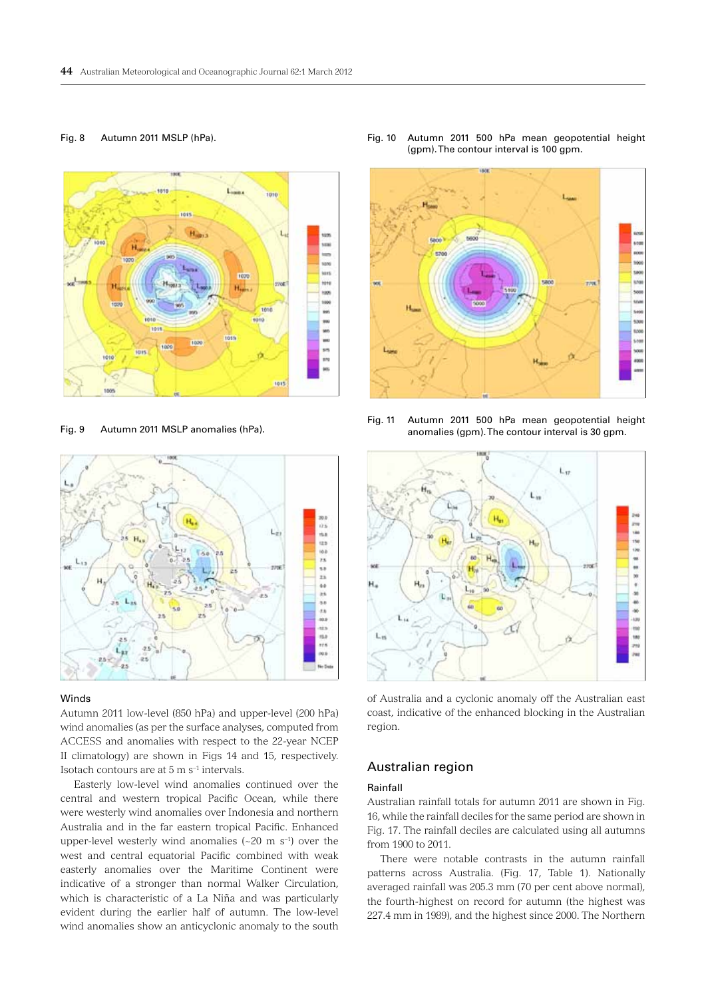## Fig. 8 Autumn 2011 MSLP (hPa).



Fig. 9 Autumn 2011 MSLP anomalies (hPa).



#### Winds

Autumn 2011 low-level (850 hPa) and upper-level (200 hPa) wind anomalies (as per the surface analyses, computed from ACCESS and anomalies with respect to the 22-year NCEP II climatology) are shown in Figs 14 and 15, respectively. Isotach contours are at 5 m s–1 intervals.

Easterly low-level wind anomalies continued over the central and western tropical Pacific Ocean, while there were westerly wind anomalies over Indonesia and northern Australia and in the far eastern tropical Pacific. Enhanced upper-level westerly wind anomalies  $({\sim}20 \text{ m s}^{-1})$  over the west and central equatorial Pacific combined with weak easterly anomalies over the Maritime Continent were indicative of a stronger than normal Walker Circulation, which is characteristic of a La Niña and was particularly evident during the earlier half of autumn. The low-level wind anomalies show an anticyclonic anomaly to the south

Fig. 10 Autumn 2011 500 hPa mean geopotential height (gpm). The contour interval is 100 gpm.



Fig. 11 Autumn 2011 500 hPa mean geopotential height anomalies (gpm). The contour interval is 30 gpm.



of Australia and a cyclonic anomaly off the Australian east coast, indicative of the enhanced blocking in the Australian region.

# Australian region

## Rainfall

Australian rainfall totals for autumn 2011 are shown in Fig. 16, while the rainfall deciles for the same period are shown in Fig. 17. The rainfall deciles are calculated using all autumns from 1900 to 2011.

There were notable contrasts in the autumn rainfall patterns across Australia. (Fig. 17, Table 1). Nationally averaged rainfall was 205.3 mm (70 per cent above normal), the fourth-highest on record for autumn (the highest was 227.4 mm in 1989), and the highest since 2000. The Northern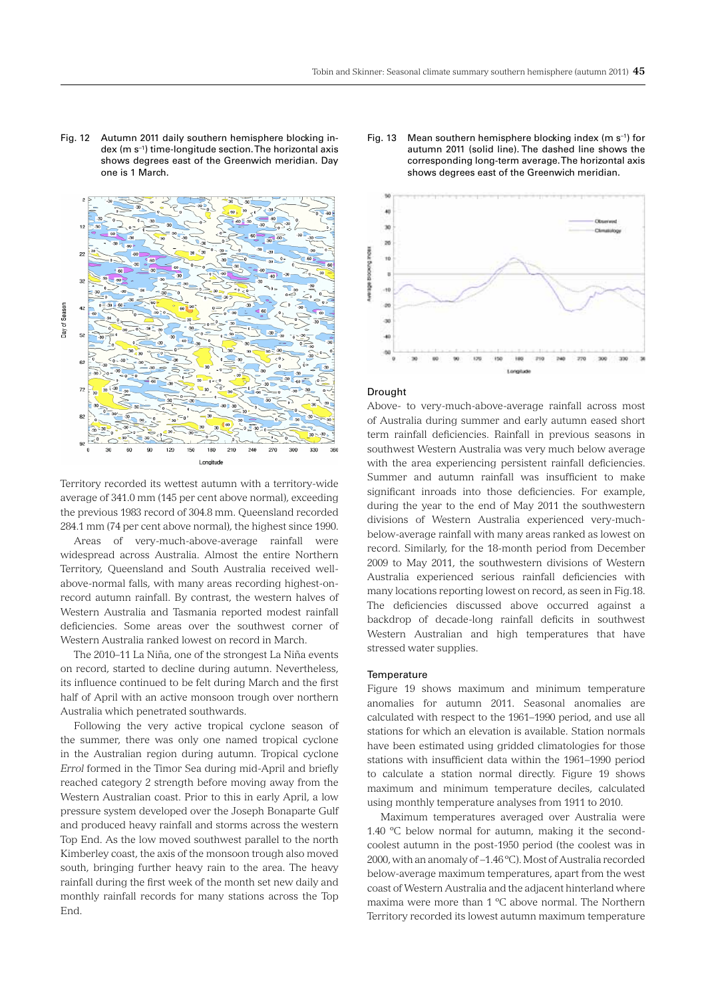Fig. 12 Autumn 2011 daily southern hemisphere blocking index (m s–1) time-longitude section. The horizontal axis shows degrees east of the Greenwich meridian. Day one is 1 March.



Territory recorded its wettest autumn with a territory-wide average of 341.0 mm (145 per cent above normal), exceeding the previous 1983 record of 304.8 mm. Queensland recorded 284.1 mm (74 per cent above normal), the highest since 1990.

Areas of very-much-above-average rainfall were widespread across Australia. Almost the entire Northern Territory, Queensland and South Australia received wellabove-normal falls, with many areas recording highest-onrecord autumn rainfall. By contrast, the western halves of Western Australia and Tasmania reported modest rainfall deficiencies. Some areas over the southwest corner of Western Australia ranked lowest on record in March.

The 2010–11 La Niña, one of the strongest La Niña events on record, started to decline during autumn. Nevertheless, its influence continued to be felt during March and the first half of April with an active monsoon trough over northern Australia which penetrated southwards.

Following the very active tropical cyclone season of the summer, there was only one named tropical cyclone in the Australian region during autumn. Tropical cyclone *Errol* formed in the Timor Sea during mid-April and briefly reached category 2 strength before moving away from the Western Australian coast. Prior to this in early April, a low pressure system developed over the Joseph Bonaparte Gulf and produced heavy rainfall and storms across the western Top End. As the low moved southwest parallel to the north Kimberley coast, the axis of the monsoon trough also moved south, bringing further heavy rain to the area. The heavy rainfall during the first week of the month set new daily and monthly rainfall records for many stations across the Top End.





#### **Drought**

Above- to very-much-above-average rainfall across most of Australia during summer and early autumn eased short term rainfall deficiencies. Rainfall in previous seasons in southwest Western Australia was very much below average with the area experiencing persistent rainfall deficiencies. Summer and autumn rainfall was insufficient to make significant inroads into those deficiencies. For example, during the year to the end of May 2011 the southwestern divisions of Western Australia experienced very-muchbelow-average rainfall with many areas ranked as lowest on record. Similarly, for the 18-month period from December 2009 to May 2011, the southwestern divisions of Western Australia experienced serious rainfall deficiencies with many locations reporting lowest on record, as seen in Fig.18. The deficiencies discussed above occurred against a backdrop of decade-long rainfall deficits in southwest Western Australian and high temperatures that have stressed water supplies.

#### **Temperature**

Figure 19 shows maximum and minimum temperature anomalies for autumn 2011. Seasonal anomalies are calculated with respect to the 1961–1990 period, and use all stations for which an elevation is available. Station normals have been estimated using gridded climatologies for those stations with insufficient data within the 1961–1990 period to calculate a station normal directly. Figure 19 shows maximum and minimum temperature deciles, calculated using monthly temperature analyses from 1911 to 2010.

Maximum temperatures averaged over Australia were 1.40 ºC below normal for autumn, making it the secondcoolest autumn in the post-1950 period (the coolest was in 2000, with an anomaly of –1.46 ºC). Most of Australia recorded below-average maximum temperatures, apart from the west coast of Western Australia and the adjacent hinterland where maxima were more than 1 ºC above normal. The Northern Territory recorded its lowest autumn maximum temperature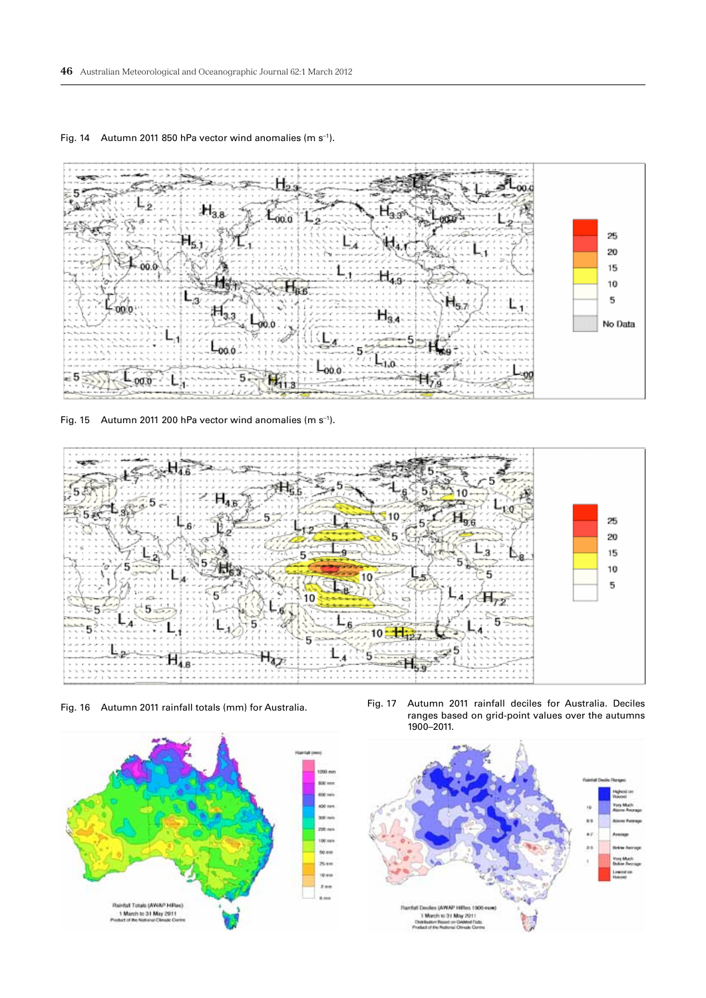

Fig. 14 Autumn 2011 850 hPa vector wind anomalies (m s–1).

Fig. 15 Autumn 2011 200 hPa vector wind anomalies (m s–1).





Fig. 16 Autumn 2011 rainfall totals (mm) for Australia. Fig. 17 Autumn 2011 rainfall deciles for Australia. Deciles ranges based on grid-point values over the autumns 1900–2011.

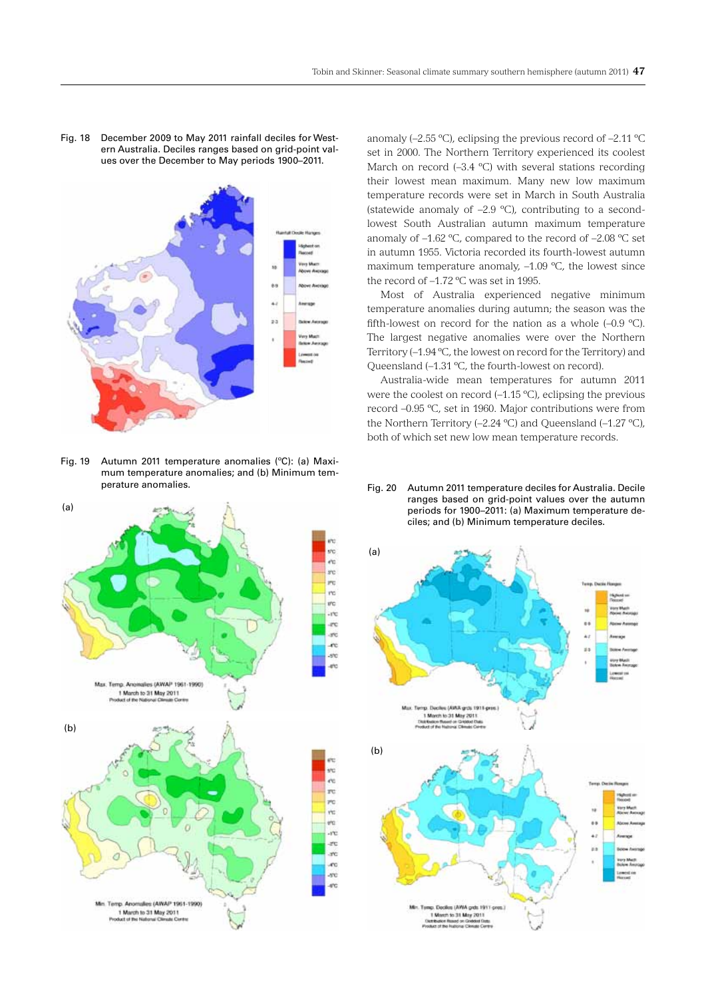Fig. 18 December 2009 to May 2011 rainfall deciles for Western Australia. Deciles ranges based on grid-point values over the December to May periods 1900–2011.



Fig. 19 Autumn 2011 temperature anomalies (ºC): (a) Maximum temperature anomalies; and (b) Minimum temperature anomalies.



anomaly ( $-2.55 \text{ }^{\circ}\text{C}$ ), eclipsing the previous record of  $-2.11 \text{ }^{\circ}\text{C}$ set in 2000. The Northern Territory experienced its coolest March on record (-3.4 °C) with several stations recording their lowest mean maximum. Many new low maximum temperature records were set in March in South Australia (statewide anomaly of –2.9 ºC), contributing to a secondlowest South Australian autumn maximum temperature anomaly of –1.62 ºC, compared to the record of –2.08 ºC set in autumn 1955. Victoria recorded its fourth-lowest autumn maximum temperature anomaly, –1.09 ºC, the lowest since the record of –1.72 ºC was set in 1995.

Most of Australia experienced negative minimum temperature anomalies during autumn; the season was the fifth-lowest on record for the nation as a whole  $(-0.9 \text{ °C})$ . The largest negative anomalies were over the Northern Territory (–1.94 ºC, the lowest on record for the Territory) and Queensland (–1.31 ºC, the fourth-lowest on record).

Australia-wide mean temperatures for autumn 2011 were the coolest on record (–1.15 ºC), eclipsing the previous record –0.95 ºC, set in 1960. Major contributions were from the Northern Territory (–2.24 ºC) and Queensland (–1.27 ºC), both of which set new low mean temperature records.

Fig. 20 Autumn 2011 temperature deciles for Australia. Decile ranges based on grid-point values over the autumn periods for 1900–2011: (a) Maximum temperature deciles; and (b) Minimum temperature deciles.

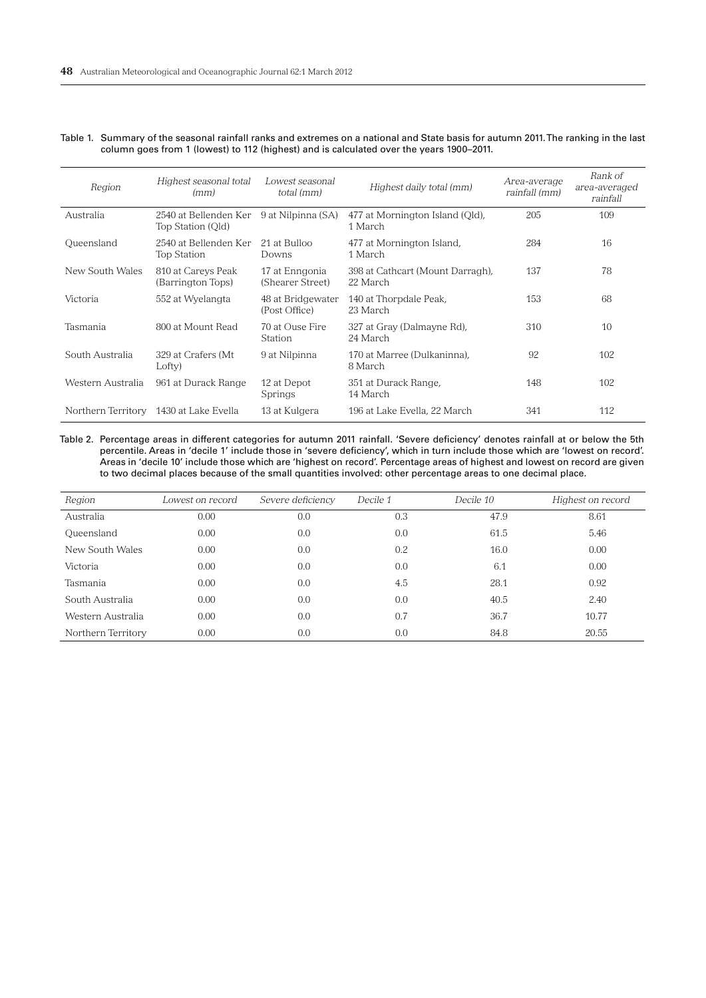| Table 1. Summary of the seasonal rainfall ranks and extremes on a national and State basis for autumn 2011. The ranking in the last |
|-------------------------------------------------------------------------------------------------------------------------------------|
| column goes from 1 (lowest) to 112 (highest) and is calculated over the years 1900–2011.                                            |

| Region             | Highest seasonal total<br>(mm)              | Lowest seasonal<br>total (mm)      | Highest daily total (mm)                     | Area-average<br>rainfall (mm) | Rank of<br>area-averaged<br>rainfall |
|--------------------|---------------------------------------------|------------------------------------|----------------------------------------------|-------------------------------|--------------------------------------|
| Australia          | 2540 at Bellenden Ker<br>Top Station (Qld)  | 9 at Nilpinna (SA)                 | 477 at Mornington Island (Old),<br>1 March   | 205                           | 109                                  |
| Queensland         | 2540 at Bellenden Ker<br><b>Top Station</b> | 21 at Bulloo<br>Downs              | 477 at Mornington Island,<br>1 March         | 284                           | 16                                   |
| New South Wales    | 810 at Careys Peak<br>(Barrington Tops)     | 17 at Enngonia<br>(Shearer Street) | 398 at Cathcart (Mount Darragh),<br>22 March | 137                           | 78                                   |
| Victoria           | 552 at Wyelangta                            | 48 at Bridgewater<br>(Post Office) | 140 at Thorpdale Peak,<br>23 March           | 153                           | 68                                   |
| Tasmania           | 800 at Mount Read                           | 70 at Ouse Fire<br><b>Station</b>  | 327 at Gray (Dalmayne Rd),<br>24 March       | 310                           | 10                                   |
| South Australia    | 329 at Crafers (Mt<br>Lofty)                | 9 at Nilpinna                      | 170 at Marree (Dulkaninna),<br>8 March       | 92                            | 102                                  |
| Western Australia  | 961 at Durack Range                         | 12 at Depot<br>Springs             | 351 at Durack Range,<br>14 March             | 148                           | 102                                  |
| Northern Territory | 1430 at Lake Evella                         | 13 at Kulgera                      | 196 at Lake Evella, 22 March                 | 341                           | 112                                  |

Table 2. Percentage areas in different categories for autumn 2011 rainfall. 'Severe deficiency' denotes rainfall at or below the 5th percentile. Areas in 'decile 1' include those in 'severe deficiency', which in turn include those which are 'lowest on record'. Areas in 'decile 10' include those which are 'highest on record'. Percentage areas of highest and lowest on record are given to two decimal places because of the small quantities involved: other percentage areas to one decimal place.

| Region             | Lowest on record | Severe deficiency | Decile 1 | Decile 10 | Highest on record |
|--------------------|------------------|-------------------|----------|-----------|-------------------|
| Australia          | 0.00             | 0.0               | 0.3      | 47.9      | 8.61              |
| Queensland         | 0.00             | 0.0               | 0.0      | 61.5      | 5.46              |
| New South Wales    | 0.00             | 0.0               | 0.2      | 16.0      | 0.00              |
| Victoria           | 0.00             | 0.0               | 0.0      | 6.1       | 0.00              |
| Tasmania           | 0.00             | 0.0               | 4.5      | 28.1      | 0.92              |
| South Australia    | 0.00             | 0.0               | 0.0      | 40.5      | 2.40              |
| Western Australia  | 0.00             | 0.0               | 0.7      | 36.7      | 10.77             |
| Northern Territory | 0.00             | 0.0               | 0.0      | 84.8      | 20.55             |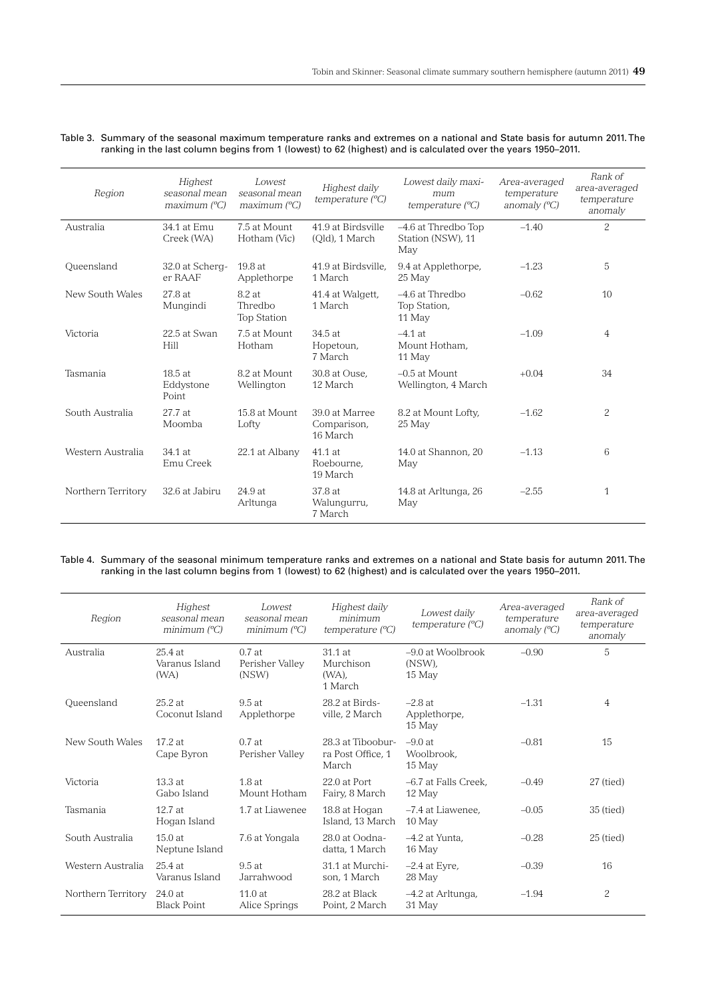| Table 3. Summary of the seasonal maximum temperature ranks and extremes on a national and State basis for autumn 2011. The |
|----------------------------------------------------------------------------------------------------------------------------|
| ranking in the last column begins from 1 (lowest) to 62 (highest) and is calculated over the years 1950–2011.              |

| Region             | Highest<br>seasonal mean<br>maximum (°C) | Lowest<br>seasonal mean<br>maximum (°C) | Highest daily<br>temperature (°C)         | Lowest daily maxi-<br>mum<br>temperature $(^{\circ}C)$ | Area-averaged<br>temperature<br>anomaly $(^{\circ}C)$ | Rank of<br>area-averaged<br>temperature<br>anomaly |
|--------------------|------------------------------------------|-----------------------------------------|-------------------------------------------|--------------------------------------------------------|-------------------------------------------------------|----------------------------------------------------|
| Australia          | 34.1 at Emu<br>Creek (WA)                | 7.5 at Mount<br>Hotham (Vic)            | 41.9 at Birdsville<br>(Old), 1 March      | -4.6 at Thredbo Top<br>Station (NSW), 11<br>May        | $-1.40$                                               | $\mathcal{P}$                                      |
| Queensland         | 32.0 at Scherg-<br>er RAAF               | 19.8at<br>Applethorpe                   | 41.9 at Birdsville.<br>1 March            | 9.4 at Applethorpe,<br>25 May                          | $-1.23$                                               | 5                                                  |
| New South Wales    | 27.8 at<br>Mungindi                      | 8.2 at<br>Thredbo<br><b>Top Station</b> | 41.4 at Walgett,<br>1 March               | $-4.6$ at Thredbo<br>Top Station,<br>11 May            | $-0.62$                                               | 10                                                 |
| Victoria           | 22.5 at Swan<br>Hill                     | 7.5 at Mount<br>Hotham                  | 34.5at<br>Hopetoun,<br>7 March            | $-4.1$ at<br>Mount Hotham.<br>11 May                   | $-1.09$                                               | $\overline{4}$                                     |
| Tasmania           | $18.5$ at<br>Eddystone<br>Point          | 8.2 at Mount<br>Wellington              | 30.8 at Ouse.<br>12 March                 | $-0.5$ at Mount<br>Wellington, 4 March                 | $+0.04$                                               | 34                                                 |
| South Australia    | 27.7at<br>Moomba                         | 15.8 at Mount<br>Lofty                  | 39.0 at Marree<br>Comparison,<br>16 March | 8.2 at Mount Lofty,<br>25 May                          | $-1.62$                                               | 2                                                  |
| Western Australia  | 34.1 at<br>Emu Creek                     | 22.1 at Albany                          | 41.1 at<br>Roebourne,<br>19 March         | 14.0 at Shannon. 20<br>May                             | $-1.13$                                               | 6                                                  |
| Northern Territory | 32.6 at Jabiru                           | 24.9 at<br>Arltunga                     | 37.8 at<br>Walungurru,<br>7 March         | 14.8 at Arltunga, 26<br>May                            | $-2.55$                                               | 1                                                  |

Table 4. Summary of the seasonal minimum temperature ranks and extremes on a national and State basis for autumn 2011. The ranking in the last column begins from 1 (lowest) to 62 (highest) and is calculated over the years 1950–2011.

| Region             | Highest<br>seasonal mean<br>minimum $(^{\circ}C)$ | Lowest<br>seasonal mean<br>minimum $(^{\circ}C)$ | Highest daily<br>minimum<br>temperature $(^{\circ}C)$ | Lowest daily<br>temperature $(^{\circ}C)$ | Area-averaged<br>temperature<br>anomaly $(^{\circ}C)$ | Rank of<br>area-averaged<br>temperature<br>anomaly |
|--------------------|---------------------------------------------------|--------------------------------------------------|-------------------------------------------------------|-------------------------------------------|-------------------------------------------------------|----------------------------------------------------|
| Australia          | $25.4$ at<br>Varanus Island<br>(W <sub>A</sub> )  | 0.7at<br>Perisher Valley<br>(NSW)                | 31.1 at<br>Murchison<br>$(WA)$ ,<br>1 March           | $-9.0$ at Woolbrook<br>(NSW),<br>15 May   | $-0.90$                                               | 5                                                  |
| Queensland         | $25.2$ at<br>Coconut Island                       | 9.5at<br>Applethorpe                             | 28.2 at Birds-<br>ville, 2 March                      | $-2.8$ at<br>Applethorpe,<br>15 May       | $-1.31$                                               | 4                                                  |
| New South Wales    | 17.2at<br>Cape Byron                              | 0.7at<br>Perisher Valley                         | 28.3 at Tiboobur-<br>ra Post Office, 1<br>March       | $-9.0at$<br>Woolbrook,<br>15 May          | $-0.81$                                               | 15                                                 |
| Victoria           | 13.3at<br>Gabo Island                             | $1.8$ at<br>Mount Hotham                         | 22.0 at Port<br>Fairy, 8 March                        | -6.7 at Falls Creek.<br>12 May            | $-0.49$                                               | 27 (tied)                                          |
| Tasmania           | 12.7at<br>Hogan Island                            | 1.7 at Liawenee                                  | 18.8 at Hogan<br>Island, 13 March                     | -7.4 at Liawenee,<br>10 May               | $-0.05$                                               | 35 (tied)                                          |
| South Australia    | 15.0at<br>Neptune Island                          | 7.6 at Yongala                                   | 28.0 at Oodna-<br>datta, 1 March                      | $-4.2$ at Yunta.<br>16 May                | $-0.28$                                               | $25$ (tied)                                        |
| Western Australia  | $25.4$ at<br>Varanus Island                       | $9.5$ at<br>Jarrahwood                           | 31.1 at Murchi-<br>son. 1 March                       | $-2.4$ at Eyre,<br>28 May                 | $-0.39$                                               | 16                                                 |
| Northern Territory | 24.0at<br><b>Black Point</b>                      | 11.0 at<br>Alice Springs                         | 28.2 at Black<br>Point, 2 March                       | -4.2 at Arltunga,<br>31 May               | $-1.94$                                               | $\overline{c}$                                     |